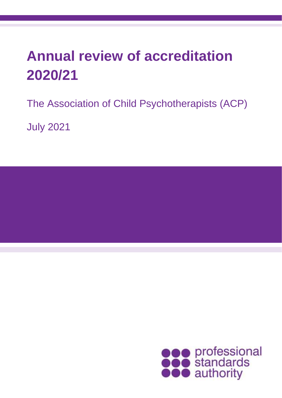# **Annual review of accreditation 2020/21**

The Association of Child Psychotherapists (ACP)

July 2021

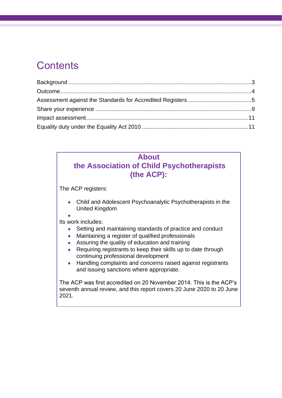# **Contents**

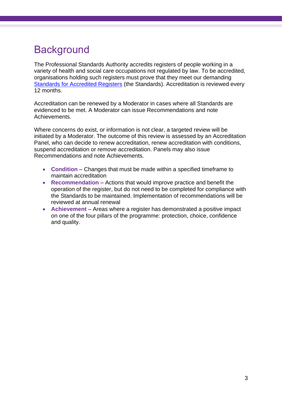# <span id="page-2-0"></span>**Background**

The Professional Standards Authority accredits registers of people working in a variety of health and social care occupations not regulated by law. To be accredited, organisations holding such registers must prove that they meet our demanding [Standards for Accredited Registers](https://www.professionalstandards.org.uk/accredited-registers/about-accredited-registers/our-standards) (the Standards). Accreditation is reviewed every 12 months.

Accreditation can be renewed by a Moderator in cases where all Standards are evidenced to be met. A Moderator can issue Recommendations and note Achievements.

Where concerns do exist, or information is not clear, a targeted review will be initiated by a Moderator. The outcome of this review is assessed by an Accreditation Panel, who can decide to renew accreditation, renew accreditation with conditions, suspend accreditation or remove accreditation. Panels may also issue Recommendations and note Achievements.

- **Condition** Changes that must be made within a specified timeframe to maintain accreditation
- **Recommendation** Actions that would improve practice and benefit the operation of the register, but do not need to be completed for compliance with the Standards to be maintained. Implementation of recommendations will be reviewed at annual renewal
- **Achievement** Areas where a register has demonstrated a positive impact on one of the four pillars of the programme: protection, choice, confidence and quality.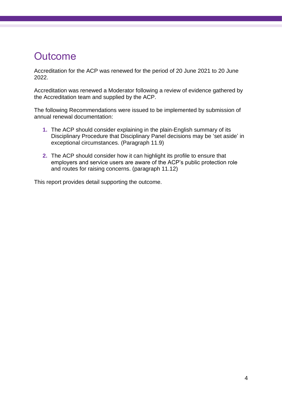# <span id="page-3-0"></span>**Outcome**

Accreditation for the ACP was renewed for the period of 20 June 2021 to 20 June 2022.

Accreditation was renewed a Moderator following a review of evidence gathered by the Accreditation team and supplied by the ACP.

The following Recommendations were issued to be implemented by submission of annual renewal documentation:

- **1.** The ACP should consider explaining in the plain-English summary of its Disciplinary Procedure that Disciplinary Panel decisions may be 'set aside' in exceptional circumstances. (Paragraph 11.9)
- **2.** The ACP should consider how it can highlight its profile to ensure that employers and service users are aware of the ACP's public protection role and routes for raising concerns. (paragraph 11.12)

This report provides detail supporting the outcome.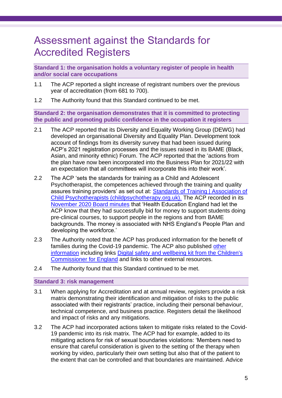### <span id="page-4-0"></span>Assessment against the Standards for Accredited Registers

**Standard 1: the organisation holds a voluntary register of people in health and/or social care occupations**

- 1.1 The ACP reported a slight increase of registrant numbers over the previous year of accreditation (from 681 to 700).
- 1.2 The Authority found that this Standard continued to be met.

**Standard 2: the organisation demonstrates that it is committed to protecting the public and promoting public confidence in the occupation it registers**

- 2.1 The ACP reported that its Diversity and Equality Working Group (DEWG) had developed an organisational Diversity and Equality Plan. Development took account of findings from its diversity survey that had been issued during ACP's 2021 registration processes and the issues raised in its BAME (Black, Asian, and minority ethnic) Forum. The ACP reported that the 'actions from the plan have now been incorporated into the Business Plan for 2021/22 with an expectation that all committees will incorporate this into their work'.
- 2.2 The ACP 'sets the standards for training as a Child and Adolescent Psychotherapist, the competences achieved through the training and quality assures training providers' as set out at: Standards of Training | Association of [Child Psychotherapists \(childpsychotherapy.org.uk\).](https://childpsychotherapy.org.uk/acp-register-standards/standards-training-0) The ACP recorded in its [November 2020 Board minutes](https://childpsychotherapy.org.uk/sites/default/files/civicrm/persist/contribute/files/summary%20Board%20minutes%2027.11.20.pdf) that 'Health Education England had let the ACP know that they had successfully bid for money to support students doing pre-clinical courses, to support people in the regions and from BAME backgrounds. The money is associated with NHS England's People Plan and developing the workforce.'
- 2.3 The Authority noted that the ACP has produced information for the benefit of families during the Covid-19 pandemic. The ACP also published other [information](https://childpsychotherapy.org.uk/resources-families/covid-19-information-families) including links [Digital safety and wellbeing kit from the Children's](https://www.childrenscommissioner.gov.uk/coronavirus/digital-safety-and-wellbeing-kit/)  [Commissioner for England](https://www.childrenscommissioner.gov.uk/coronavirus/digital-safety-and-wellbeing-kit/) and links to other external resources.
- 2.4 The Authority found that this Standard continued to be met.

#### **Standard 3: risk management**

- 3.1 When applying for Accreditation and at annual review, registers provide a risk matrix demonstrating their identification and mitigation of risks to the public associated with their registrants' practice, including their personal behaviour, technical competence, and business practice. Registers detail the likelihood and impact of risks and any mitigations.
- 3.2 The ACP had incorporated actions taken to mitigate risks related to the Covid-19 pandemic into its risk matrix. The ACP had for example, added to its mitigating actions for risk of sexual boundaries violations: 'Members need to ensure that careful consideration is given to the setting of the therapy when working by video, particularly their own setting but also that of the patient to the extent that can be controlled and that boundaries are maintained. Advice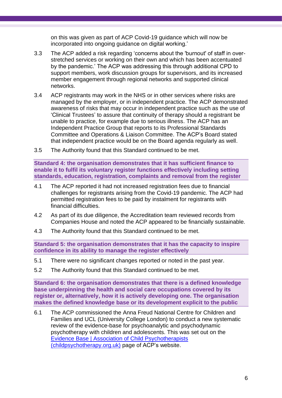on this was given as part of ACP Covid-19 guidance which will now be incorporated into ongoing guidance on digital working.'

- 3.3 The ACP added a risk regarding 'concerns about the 'burnout' of staff in overstretched services or working on their own and which has been accentuated by the pandemic.' The ACP was addressing this through additional CPD to support members, work discussion groups for supervisors, and its increased member engagement through regional networks and supported clinical networks.
- 3.4 ACP registrants may work in the NHS or in other services where risks are managed by the employer, or in independent practice. The ACP demonstrated awareness of risks that may occur in independent practice such as the use of 'Clinical Trustees' to assure that continuity of therapy should a registrant be unable to practice, for example due to serious illness. The ACP has an Independent Practice Group that reports to its Professional Standards Committee and Operations & Liaison Committee. The ACP's Board stated that independent practice would be on the Board agenda regularly as well.
- 3.5 The Authority found that this Standard continued to be met.

**Standard 4: the organisation demonstrates that it has sufficient finance to enable it to fulfil its voluntary register functions effectively including setting standards, education, registration, complaints and removal from the register**

- 4.1 The ACP reported it had not increased registration fees due to financial challenges for registrants arising from the Covid-19 pandemic. The ACP had permitted registration fees to be paid by instalment for registrants with financial difficulties.
- 4.2 As part of its due diligence, the Accreditation team reviewed records from Companies House and noted the ACP appeared to be financially sustainable.
- 4.3 The Authority found that this Standard continued to be met.

**Standard 5: the organisation demonstrates that it has the capacity to inspire confidence in its ability to manage the register effectively**

- 5.1 There were no significant changes reported or noted in the past year.
- 5.2 The Authority found that this Standard continued to be met.

**Standard 6: the organisation demonstrates that there is a defined knowledge base underpinning the health and social care occupations covered by its register or, alternatively, how it is actively developing one. The organisation makes the defined knowledge base or its development explicit to the public**

6.1 The ACP commissioned the Anna Freud National Centre for Children and Families and UCL (University College London) to conduct a new systematic review of the evidence-base for psychoanalytic and psychodynamic psychotherapy with children and adolescents. This was set out on the [Evidence Base | Association of Child Psychotherapists](https://childpsychotherapy.org.uk/resources-professionals/evidence-base)  [\(childpsychotherapy.org.uk\)](https://childpsychotherapy.org.uk/resources-professionals/evidence-base) page of ACP's website.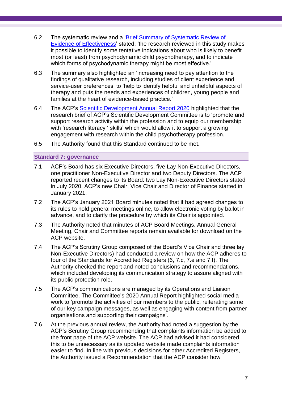- 6.2 The systematic review and a ['Brief Summary of Systematic Review of](https://childpsychotherapy.org.uk/sites/default/files/documents/a%20brief%20summary%20of%20an%20update%20and%20narrative%20synthesis.%20ACP%20Summary%20%28January%202021%29.pdf)  [Evidence of Effectiveness'](https://childpsychotherapy.org.uk/sites/default/files/documents/a%20brief%20summary%20of%20an%20update%20and%20narrative%20synthesis.%20ACP%20Summary%20%28January%202021%29.pdf) stated: 'the research reviewed in this study makes it possible to identify some tentative indications about who is likely to benefit most (or least) from psychodynamic child psychotherapy, and to indicate which forms of psychodynamic therapy might be most effective.'
- 6.3 The summary also highlighted an 'increasing need to pay attention to the findings of qualitative research, including studies of client experience and service-user preferences' to 'help to identify helpful and unhelpful aspects of therapy and puts the needs and experiences of children, young people and families at the heart of evidence-based practice.'
- 6.4 The ACP's [Scientific Development Annual Report 2020](https://childpsychotherapy.org.uk/sites/default/files/civicrm/persist/contribute/files/Scientific%20Development%20Annual%20Report%202020.pdf) highlighted that the research brief of ACP's Scientific Development Committee is to 'promote and support research activity within the profession and to equip our membership with 'research literacy ' skills' which would allow it to support a growing engagement with research within the child psychotherapy profession.
- 6.5 The Authority found that this Standard continued to be met.

#### **Standard 7: governance**

- 7.1 ACP's Board has six Executive Directors, five Lay Non-Executive Directors, one practitioner Non-Executive Director and two Deputy Directors. The ACP reported recent changes to its Board: two Lay Non-Executive Directors stated in July 2020. ACP's new Chair, Vice Chair and Director of Finance started in January 2021.
- 7.2 The ACP's January 2021 Board minutes noted that it had agreed changes to its rules to hold general meetings online, to allow electronic voting by ballot in advance, and to clarify the procedure by which its Chair is appointed.
- 7.3 The Authority noted that minutes of ACP Board Meetings, Annual General Meeting, Chair and Committee reports remain available for download on the ACP website.
- 7.4 The ACP's Scrutiny Group composed of the Board's Vice Chair and three lay Non-Executive Directors) had conducted a review on how the ACP adheres to four of the Standards for Accredited Registers (6, 7.c, 7.e and 7.f). The Authority checked the report and noted conclusions and recommendations, which included developing its communication strategy to assure aligned with its public protection role.
- 7.5 The ACP's communications are managed by its Operations and Liaison Committee. The Committee's 2020 Annual Report highlighted social media work to 'promote the activities of our members to the public, reiterating some of our key campaign messages, as well as engaging with content from partner organisations and supporting their campaigns'.
- 7.6 At the previous annual review, the Authority had noted a suggestion by the ACP's Scrutiny Group recommending that complaints information be added to the front page of the ACP website. The ACP had advised it had considered this to be unnecessary as its updated website made complaints information easier to find. In line with previous decisions for other Accredited Registers, the Authority issued a Recommendation that the ACP consider how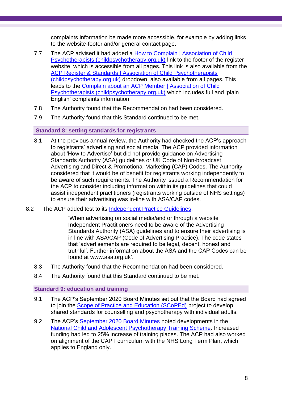complaints information be made more accessible, for example by adding links to the website-footer and/or general contact page.

- 7.7 The ACP advised it had added a [How to Complain | Association of Child](https://childpsychotherapy.org.uk/acp-register-standards/how-complain-0)  [Psychotherapists \(childpsychotherapy.org.uk\)](https://childpsychotherapy.org.uk/acp-register-standards/how-complain-0) link to the footer of the register website, which is accessible from all pages. This link is also available from the [ACP Register & Standards | Association of Child Psychotherapists](https://childpsychotherapy.org.uk/acp-register-standards)  [\(childpsychotherapy.org.uk\)](https://childpsychotherapy.org.uk/acp-register-standards) dropdown, also available from all pages. This leads to the [Complain about an ACP Member | Association of Child](https://childpsychotherapy.org.uk/acp-register-standards/how-complain-0/complain-about-acp-member)  [Psychotherapists \(childpsychotherapy.org.uk\)](https://childpsychotherapy.org.uk/acp-register-standards/how-complain-0/complain-about-acp-member) which includes full and 'plain English' complaints information.
- 7.8 The Authority found that the Recommendation had been considered.
- 7.9 The Authority found that this Standard continued to be met.

#### **Standard 8: setting standards for registrants**

- 8.1 At the previous annual review, the Authority had checked the ACP's approach to registrants' advertising and social media. The ACP provided information about 'How to Advertise' but did not provide guidance on Advertising Standards Authority (ASA) guidelines or UK Code of Non-broadcast Advertising and Direct & Promotional Marketing (CAP) Codes. The Authority considered that it would be of benefit for registrants working independently to be aware of such requirements. The Authority issued a Recommendation for the ACP to consider including information within its guidelines that could assist independent practitioners (registrants working outside of NHS settings) to ensure their advertising was in-line with ASA/CAP codes.
- 8.2 The ACP added test to its [Independent Practice Guidelines:](https://childpsychotherapy.org.uk/independent-practice-guidelines)

'When advertising on social media/and or through a website Independent Practitioners need to be aware of the Advertising Standards Authority (ASA) guidelines and to ensure their advertising is in line with ASA/CAP (Code of Advertising Practice). The code states that 'advertisements are required to be legal, decent, honest and truthful'. Further information about the ASA and the CAP Codes can be found at www.asa.org.uk'.

- 8.3 The Authority found that the Recommendation had been considered.
- 8.4 The Authority found that this Standard continued to be met.

#### **Standard 9: education and training**

- 9.1 The ACP's September 2020 Board Minutes set out that the Board had agreed to join the [Scope of Practice and Education \(SCoPEd\)](https://www.bacp.co.uk/about-us/advancing-the-profession/scoped/) project to develop shared standards for counselling and psychotherapy with individual adults.
- 9.2 The ACP's [September 2020 Board Minutes](https://childpsychotherapy.org.uk/sites/default/files/civicrm/persist/contribute/files/Summary%20Board%20minutes.%2025.09.20.pdf) noted developments in the [National Child and Adolescent Psychotherapy Training Scheme.](https://childpsychotherapy.org.uk/training-events-0/how-train-child-and-adolescent-psychotherapist) Increased funding had led to 25% increase of training places. The ACP had also worked on alignment of the CAPT curriculum with the NHS Long Term Plan, which applies to England only.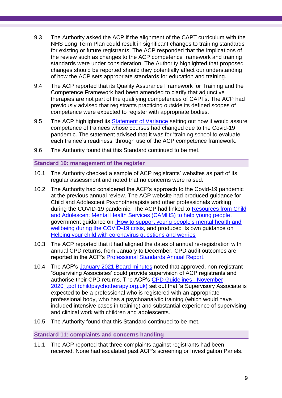- 9.3 The Authority asked the ACP if the alignment of the CAPT curriculum with the NHS Long Term Plan could result in significant changes to training standards for existing or future registrants. The ACP responded that the implications of the review such as changes to the ACP competence framework and training standards were under consideration. The Authority highlighted that proposed changes should be reported should they potentially affect our understanding of how the ACP sets appropriate standards for education and training.
- 9.4 The ACP reported that its Quality Assurance Framework for Training and the Competence Framework had been amended to clarify that adjunctive therapies are not part of the qualifying competences of CAPTs. The ACP had previously advised that registrants practicing outside its defined scopes of competence were expected to register with appropriate bodies.
- 9.5 The ACP highlighted its [Statement of Variance](https://childpsychotherapy.org.uk/acp-register-standards/standards-training-0/statement-variance) setting out how it would assure competence of trainees whose courses had changed due to the Covid-19 pandemic. The statement advised that it was for 'training school to evaluate each trainee's readiness' through use of the ACP competence framework.
- 9.6 The Authority found that this Standard continued to be met.

#### **Standard 10: management of the register**

- 10.1 The Authority checked a sample of ACP registrants' websites as part of its regular assessment and noted that no concerns were raised.
- 10.2 The Authority had considered the ACP's approach to the Covid-19 pandemic at the previous annual review. The ACP website had produced guidance for Child and Adolescent Psychotherapists and other professionals working during the COVID-19 pandemic. The ACP had linked to [Resources from Child](https://www.camhs-resources.co.uk/downloads)  [and Adolescent Mental Health Services \(CAMHS\) to help young people,](https://www.camhs-resources.co.uk/downloads) government guidance on [How to support young people's mental health and](https://www.gov.uk/government/publications/covid-19-guidance-on-supporting-children-and-young-peoples-mental-health-and-wellbeing/guidance-for-parents-and-carers-on-supporting-children-and-young-peoples-mental-health-and-wellbeing-during-the-coronavirus-covid-19-outbreak)  [wellbeing during the COVID-19 crisis,](https://www.gov.uk/government/publications/covid-19-guidance-on-supporting-children-and-young-peoples-mental-health-and-wellbeing/guidance-for-parents-and-carers-on-supporting-children-and-young-peoples-mental-health-and-wellbeing-during-the-coronavirus-covid-19-outbreak) and produced its own guidance on [Helping your child with coronavirus questions and worries](https://childpsychotherapy.org.uk/node/1409/)
- 10.3 The ACP reported that it had aligned the dates of annual re-registration with annual CPD returns, from January to December. CPD audit outcomes are reported in the ACP's [Professional Standards Annual Report.](https://childpsychotherapy.org.uk/sites/default/files/civicrm/persist/contribute/files/Professional%20Standards%20Annual%20Report%202020.pdf)
- 10.4 The ACP's [January 2021 Board minutes](https://childpsychotherapy.org.uk/sites/default/files/civicrm/persist/contribute/files/Board%20minutes%20summary.%20January%202021.pdf) noted that approved, non-registrant 'Supervising Associates' could provide supervision of ACP registrants and authorise their CPD returns. The ACP's CPD Guidelines November 2020 .pdf (childpsychotherapy.org.uk) set out that 'a Supervisory Associate is expected to be a professional who is registered with an appropriate professional body, who has a psychoanalytic training (which would have included intensive cases in training) and substantial experience of supervising and clinical work with children and adolescents.
- 10.5 The Authority found that this Standard continued to be met.

**Standard 11: complaints and concerns handling** 

<span id="page-8-0"></span>11.1 The ACP reported that three complaints against registrants had been received. None had escalated past ACP's screening or Investigation Panels.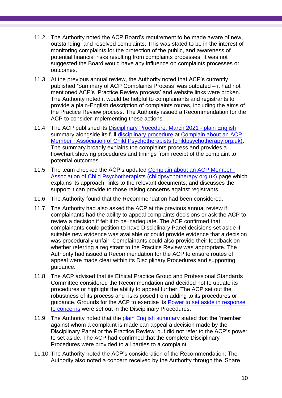- 11.2 The Authority noted the ACP Board's requirement to be made aware of new, outstanding, and resolved complaints. This was stated to be in the interest of monitoring complaints for the protection of the public, and awareness of potential financial risks resulting from complaints processes. It was not suggested the Board would have any influence on complaints processes or outcomes.
- 11.3 At the previous annual review, the Authority noted that ACP's currently published 'Summary of ACP Complaints Process' was outdated – it had not mentioned ACP's 'Practice Review process' and website links were broken. The Authority noted it would be helpful to complainants and registrants to provide a plain-English description of complaints routes, including the aims of the Practice Review process. The Authority issued a Recommendation for the ACP to consider implementing these actions.
- 11.4 The ACP published its [Disciplinary Procedure. March 2021 -](https://childpsychotherapy.org.uk/sites/default/files/civicrm/persist/contribute/files/Disciplinary%20Procedure.%20March%202021%20-%20plain%20English.pdf) plain English summary alongside its full [disciplinary procedure](https://childpsychotherapy.org.uk/sites/default/files/civicrm/persist/contribute/files/Disciplinary%20Procedure.%20March%202021.pdf) at Complain about an ACP [Member | Association of Child Psychotherapists \(childpsychotherapy.org.uk\).](https://childpsychotherapy.org.uk/acp-register-standards/how-complain-0/complain-about-acp-member) The summary broadly explains the complaints process and provides a flowchart showing procedures and timings from receipt of the complaint to potential outcomes.
- 11.5 The team checked the ACP's updated [Complain about an ACP Member |](https://childpsychotherapy.org.uk/acp-register-standards/how-complain-0/complain-about-acp-member)  [Association of Child Psychotherapists \(childpsychotherapy.org.uk\)](https://childpsychotherapy.org.uk/acp-register-standards/how-complain-0/complain-about-acp-member) page which explains its approach, links to the relevant documents, and discusses the support it can provide to those raising concerns against registrants.
- 11.6 The Authority found that the Recommendation had been considered.
- 11.7 The Authority had also asked the ACP at the previous annual review if complainants had the ability to appeal complaints decisions or ask the ACP to review a decision if felt it to be inadequate. The ACP confirmed that complainants could petition to have Disciplinary Panel decisions set aside if suitable new evidence was available or could provide evidence that a decision was procedurally unfair. Complainants could also provide their feedback on whether referring a registrant to the Practice Review was appropriate. The Authority had issued a Recommendation for the ACP to ensure routes of appeal were made clear within its Disciplinary Procedures and supporting guidance.
- 11.8 The ACP advised that its Ethical Practice Group and Professional Standards Committee considered the Recommendation and decided not to update its procedures or highlight the ability to appeal further. The ACP set out the robustness of its process and risks posed from adding to its procedures or guidance. Grounds for the ACP to exercise its [Power to set aside in response](https://childpsychotherapy.org.uk/sites/default/files/civicrm/persist/contribute/files/Disciplinary%20Procedure.%20March%202021.pdf)  [to concerns](https://childpsychotherapy.org.uk/sites/default/files/civicrm/persist/contribute/files/Disciplinary%20Procedure.%20March%202021.pdf) were set out in the Disciplinary Procedures.
- 11.9 The Authority noted that the [plain English summary](https://childpsychotherapy.org.uk/acp-register-standards/standards-practice/disciplinary-procedure) stated that the 'member against whom a complaint is made can appeal a decision made by the Disciplinary Panel or the Practice Review' but did not refer to the ACP's power to set aside. The ACP had confirmed that the complete Disciplinary Procedures were provided to all parties to a complaint.
- 11.10 The Authority noted the ACP's consideration of the Recommendation. The Authority also noted a concern received by the Authority through the 'Share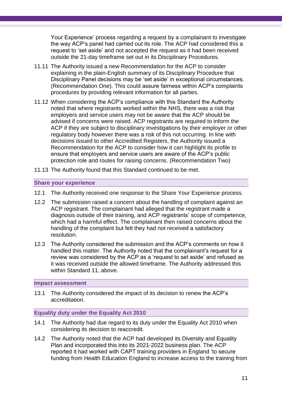Your Experience' process regarding a request by a complainant to investigate the way ACP's panel had carried out its role. The ACP had considered this a request to 'set aside' and not accepted the request as it had been received outside the 21-day timeframe set out in its Disciplinary Procedures.

- 11.11 The Authority issued a new Recommendation for the ACP to consider explaining in the plain-English summary of its Disciplinary Procedure that Disciplinary Panel decisions may be 'set aside' in exceptional circumstances. (Recommendation One). This could assure fairness within ACP's complaints procedures by providing relevant information for all parties.
- 11.12 When considering the ACP's compliance with this Standard the Authority noted that where registrants worked within the NHS, there was a risk that employers and service users may not be aware that the ACP should be advised if concerns were raised. ACP registrants are required to inform the ACP if they are subject to disciplinary investigations by their employer or other regulatory body however there was a risk of this not occurring. In line with decisions issued to other Accredited Registers, the Authority issued a Recommendation for the ACP to consider how it can highlight its profile to ensure that employers and service users are aware of the ACP's public protection role and routes for raising concerns. (Recommendation Two)
- 11.13 The Authority found that this Standard continued to be met.

#### **Share your experience**

- 12.1 The Authority received one response to the Share Your Experience process.
- 12.2 The submission raised a concern about the handling of complaint against an ACP registrant. The complainant had alleged that the registrant made a diagnosis outside of their training, and ACP registrants' scope of competence, which had a harmful effect. The complainant then raised concerns about the handling of the complaint but felt they had not received a satisfactory resolution.
- 12.3 The Authority considered the submission and the ACP's comments on how it handled this matter. The Authority noted that the complainant's request for a review was considered by the ACP as a 'request to set aside' and refused as it was received outside the allowed timeframe. The Authority addressed this within Standard 11, above.

#### <span id="page-10-0"></span>**Impact assessment**

13.1 The Authority considered the impact of its decision to renew the ACP's accreditation.

#### <span id="page-10-1"></span>**Equality duty under the Equality Act 2010**

- 14.1 The Authority had due regard to its duty under the Equality Act 2010 when considering its decision to reaccredit.
- 14.2 The Authority noted that the ACP had developed its Diversity and Equality Plan and incorporated this into its 2021-2022 business plan. The ACP reported it had worked with CAPT training providers in England 'to secure funding from Health Education England to increase access to the training from